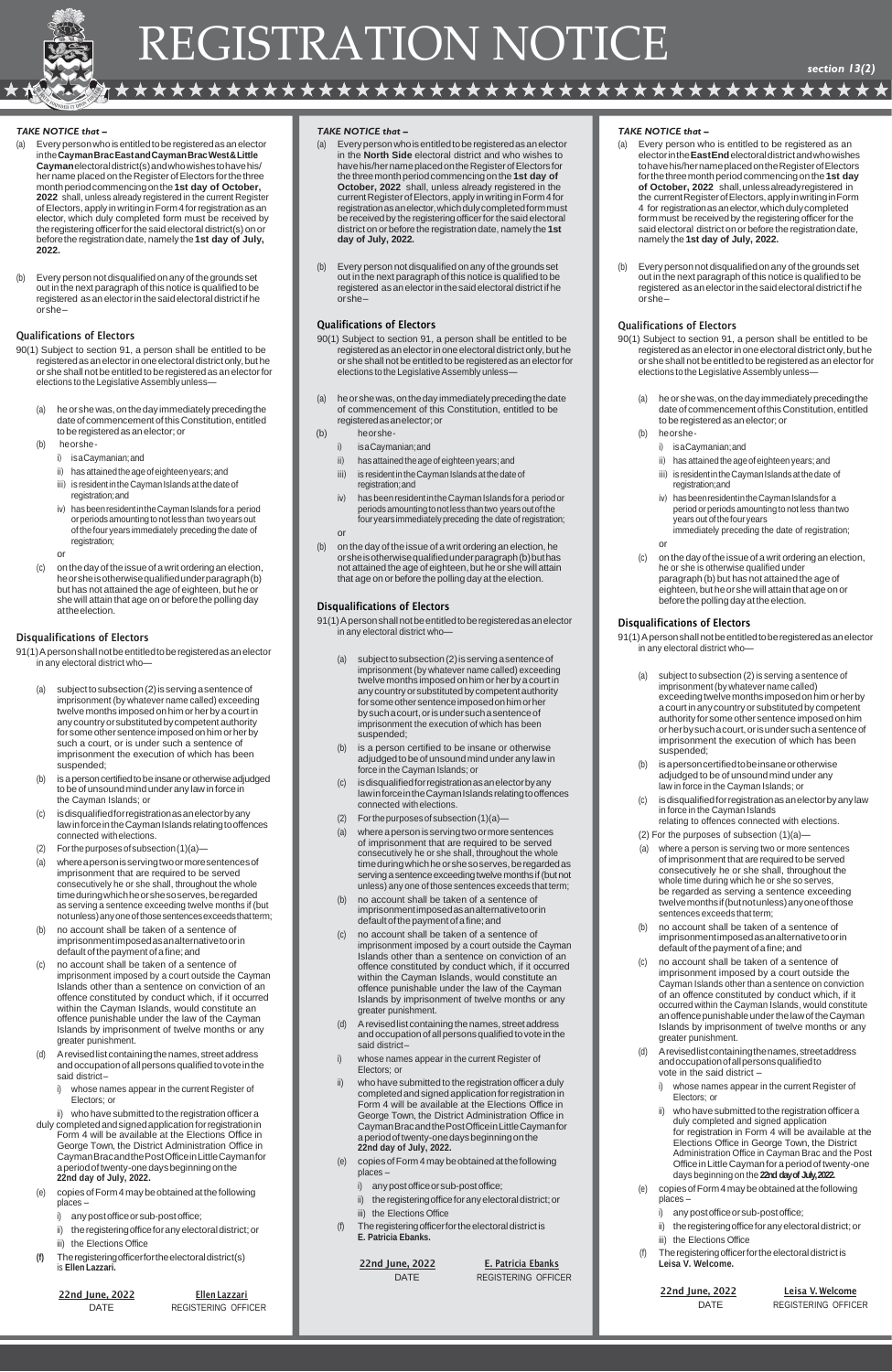#### *TAKE NOTICE that –*

- (a) Every personwhoisentitledtoberegisteredasanelector inthe**CaymanBracEastandCaymanBracWest&Little Cayman**electoraldistrict(s)andwhowishestohavehis/ her name placed on the Register of Electors for the three monthperiodcommencingonthe**1st day of October, 2022** shall, unless already registered in the current Register of Electors, apply in writing in Form 4 for registration as an elector, which duly completed form must be received by the registering officer for the said electoral district(s) on or beforethe registrationdate, namely the **1st day of July, 2022.**
- (b) Every person not disqualified onany of the grounds set out in the next paragraph of this notice is qualified to be registered as an elector in the said electoral district if he orshe–

#### Qualifications of Electors

91(1) A person shall not be entitled to be registered as an elector in any electoral district who—

- 90(1) Subject to section 91, a person shall be entitled to be registered as an elector in one electoral district only, but he or she shall not be entitled to be registeredas an electorfor elections to the Legislative Assembly unless-
	- (a) he or she was, on the day immediately preceding the date of commencement of this Constitution, entitled toberegisteredas anelector; or
	- (b) heorshe
		- i) isaCaymanian;and
		- ii) has attained the age of eighteen years; and
		- iii) is resident in the Cayman Islands at the date of registration;and
		- iv) has been resident in the Cayman Islands for a period orperiodsamountingtonotlessthan two years out of the four years immediately preceding the date of registration;

#### or

(c) on the day of theissueof a writ orderingan election, heorsheisotherwisequalifiedunderparagraph(b) but has not attained the age of eighteen, but he or she will attain that age on or before the polling day attheelection.

- (a) subject to subsection (2) is serving a sentence of imprisonment (by whatever name called) exceeding twelve months imposed on him or her by a court in any country or substituted by competent authority for some other sentence imposed on him or her by such a court, or is under such a sentence of imprisonment the execution of which has been suspended;
- (b) is a person certified to be insane or otherwise adjudged to be of unsound mind under any law in force in the Cayman Islands; or
- (c) isdisqualifiedforregistrationasanelectorbyany lawinforceinthe Cayman Islands relating to offences connected withelections.
- (2) Forthepurposesofsubsection(1)(a)—
- (a) whereapersonisservingtwoormoresentencesof imprisonment that are required to be served consecutively he or she shall, throughout the whole time during which he or she so serves, be regarded as serving a sentence exceeding twelve months if (but notunless)anyoneofthosesentencesexceedsthatterm;
- (b) no account shall be taken of a sentence of imprisonmentimposedasanalternativetoorin default of the payment of a fine; and
- (c) no account shall be taken of a sentence of imprisonment imposed by a court outside the Cayman Islands other than a sentence on conviction of an offence constituted by conduct which, if it occurred within the Cayman Islands, would constitute an offence punishable under the law of the Cayman Islands by imprisonment of twelve months or any greater punishment.
- (d) Arevisedlist containingthenames, streetaddress and occupation of all persons qualified to vote in the said district–

#### Disqualifications of Electors

22nd June, 2022 Ellen Lazzari DATE REGISTERING OFFICER

- 90(1) Subject to section 91, a person shall be entitled to be registered as an elector in one electoral district only, but he or she shall not be entitled to be registeredas an electorfor elections tothe LegislativeAssembly unless—
- (a) heorshewas,ontheday immediatelyprecedingthedate of commencement of this Constitution, entitled to be registeredasanelector;or
- (b) heorshe
	- i) isaCaymanian; and
	- ii) has attained the age of eighteen years; and
	- iii) is resident in the Cayman Islands at the date of
	- registration;and iv) has been resident in the Cayman Islands for a period or periods amountingtonotless thantwo yearsoutofthe four years immediately preceding the date of registration;
	- or
- (b) on the day of the issue of a writ ordering an election, he orsheis otherwise qualified under paragraph (b) but has not attained the age of eighteen, but he or she willattain that age on or before the polling day at the election.

91(1) A person shall not be entitled to be registered as an elector in any electoral district who—

i) whose names appear in the current Register of Electors; or

ii) who have submitted to the registration officer a duly completed and signed application for registration in Form 4 will be available at the Elections Office in George Town, the District Administration Office in CaymanBracandthePostOfficeinLittleCaymanfor aperiodoftwenty-onedaysbeginningonthe **22nd day of July, 2022.**

- (e) copiesofForm4may beobtainedatthefollowing places –
	- i) any post office or sub-post office;
	- ii) the registering office for any electoral district; or
	- iii) the Elections Office
- **(f)** Theregisteringofficerfortheelectoraldistrict(s) is **Ellen Lazzari.**
	-
- ii) who have submitted to the registration officer a duly completed and signed application for registration in Form 4 will be available at the Elections Office in George Town, the District Administration Office in CaymanBracandthePostOfficeinLittleCaymanfor aperiodoftwenty-onedaysbeginningonthe **22nd day of July, 2022.**
- (e) copiesofForm4may beobtainedatthefollowing places –
	- i) anypostofficeorsub-postoffice;
	- ii) the registering office for any electoral district; or
	- iii) the Elections Office
- (f) The registering officer for the electoral district is **E. Patricia Ebanks.**

22nd June, 2022 **E. Patricia Ebanks** DATE REGISTERING OFFICER

#### *TAKE NOTICE that –*

- (a) Everypersonwhoisentitledtoberegisteredasanelector in the **North Side** electoral district and who wishes to havehis/hernameplacedontheRegisterofElectorsfor the threemonth periodcommencing on the **1st day of October, 2022** shall, unless already registered in the currentRegisterofElectors,apply inwritinginForm4for registrationasanelector,whichdulycompletedformmust be received by the registeringofficerforthesaid electoral district on or beforethe registrationdate, namely the **1st day of July, 2022.**
- (b) Every person not disqualified onany of the grounds set out in the next paragraph of this notice is qualified to be registered as an elector in the said electoral district if he orshe–

#### Qualifications of Electors

#### Disqualifications of Electors

- (a) subjecttosubsection(2)isservingasentenceof imprisonment (by whatever name called) exceeding twelvemonths imposed onhim or her by acourt in any country or substituted by competent authority forsomeothersentenceimposedonhimorher by such a court, or is under such a sentence of imprisonment the execution of which has been suspended;
- (b) is a person certified to be insane or otherwise adjudgedtobeof unsoundmindunderany lawin force in the Cayman Islands; or
- (c) isdisqualifiedforregistrationasanelectorbyany law inforce in the Cayman Islands relating to offences connected withelections.
- (2) For the purposes of subsection (1)(a)-
- (a) whereapersonis servingtwoormoresentences of imprisonment that are required to be served consecutively he or she shall, throughout the whole timeduringwhichheorshesoserves,beregardedas serving a sentence exceeding twelve months if (but not unless) any one of those sentences exceeds that term;
- (b) no account shall be taken of a sentence of imprisonmentimposedasanalternativetoorin default of the payment of a fine; and
- (c) no account shall be taken of a sentence of imprisonment imposed by a court outside the Cayman Islands other than a sentence on conviction of an offence constituted by conduct which, if it occurred within the Cayman Islands, would constitute an offence punishable under the law of the Cayman Islands by imprisonment of twelve months or any greater punishment.
- (d) A revised list containing the names, street address and occupation of all persons qualified to vote in the said district–
- i) whose names appear in the current Register of Electors; or

#### *TAKE NOTICE that –*

- (a) Every person who is entitled to be registered as an electorinthe**EastEnd**electoraldistrictandwhowishes tohavehis/hernameplacedontheRegisterofElectors forthethreemonthperiodcommencingonthe**1st day of October, 2022** shall,unlessalreadyregistered in the current Register of Electors, apply in writing in Form 4 for registration as an elector, which duly completed form must be received by the registering officer for the said electoral district on or before the registration date, namely the **1st day of July, 2022.**
- (b) Every person not disqualified onany of the grounds set out in the next paragraph of this notice is qualified to be registered as an electorinthesaidelectoral district if he orshe–

#### Qualifications of Electors

- 90(1) Subject to section 91, a person shall be entitled to be registered as an elector in one electoral district only, but he or she shall not be entitled to be registeredas an electorfor elections to the Legislative Assembly unless-
	- (a) heor shewas,ontheday immediatelyprecedingthe date of commencement of this Constitution, entitled toberegisteredas anelector; or
	- (b) heorshe
		- i) isaCaymanian;and
		- ii) has attained the age of eighteen years; and iii) is resident in the Cayman Islands at the date of
		- registration;and iv) hasbeenresidentintheCaymanIslandsfor a period or periods amounting to not less than two years out of the four years immediately preceding the date of registration; or
	- (c) on the day of theissueof a writ orderingan election, he or she is otherwise qualified under paragraph (b) but has not attained the age of eighteen, but heor she will attainthat ageon or beforethe pollingday atthe election.

#### Disqualifications of Electors

91(1) A person shall not be entitled to be registered as an elector  $\sin$  any electoral district who-

- (a) subject to subsection (2) is serving a sentence of imprisonment(by whatever name called) exceedingtwelvemonthsimposedonhimorherby a court in any country or substituted by competent authority forsomeothersentenceimposedonhim or her by such a court, or is under such a sentence of imprisonment the execution of which has been suspended;
- (b) isapersoncertifiedtobeinsaneorotherwise adjudged to be of unsound mind under any law in force in the Cayman Islands; or
- (c) isdisqualifiedforregistrationasanelectorbyanylaw in force in the Cayman Islands relating to offences connected with elections.
- (2) For the purposes of subsection  $(1)(a)$ -
- (a) where a person is serving two or more sentences of imprisonment that are requiredtobe served consecutively he or she shall, throughout the whole time during which he or she so serves, be regarded as serving a sentence exceeding twelvemonthsif(butnotunless)anyoneofthose sentences exceeds that term;
- (b) no account shall be taken of a sentence of imprisonmentimposedasanalternativetoorin default of the payment of a fine; and
- no account shall be taken of a sentence of imprisonment imposed by a court outside the Cayman Islands other than a sentence on conviction of an offence constituted by conduct which, if it occurred within the Cayman Islands, would constitute an offence punishable under the law of the Cayman Islands by imprisonment of twelve months or any greater punishment.
- (d) Arevisedlistcontainingthenames,streetaddress andoccupationofallpersonsqualifiedto vote in the said district –

- i) whose names appear in the current Register of Electors; or
- ii) who have submitted to the registration officer a duly completed and signed application for registration in Form 4 will be available at the Elections Office in George Town, the District Administration Office in Cayman Brac and the Post Office in Little Cayman for a period of twenty-one days beginning on the **22nd dayof July,2022.**
- (e) copiesofForm4may beobtainedatthefollowing places –
	- i) anypostofficeorsub-postoffice;
	- ii) theregisteringofficeforanyelectoraldistrict;or iii) the Elections Office
- The registering officer for the electoral district is **Leisa V. Welcome.**

22nd June, 2022 Leisa V. Welcome DATE REGISTERING OFFICER



# REGISTRATION NOTICE